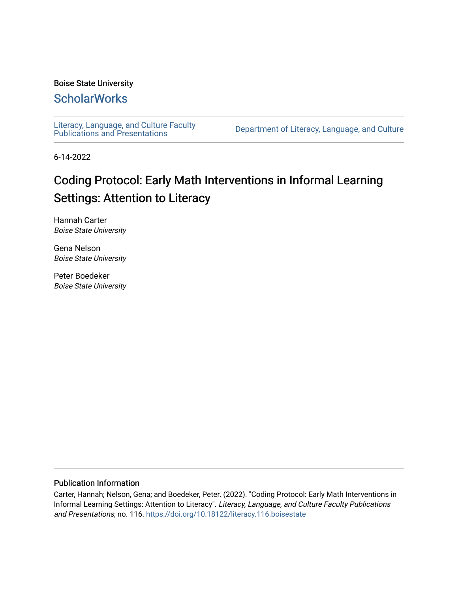### Boise State University

### **ScholarWorks**

[Literacy, Language, and Culture Faculty](https://scholarworks.boisestate.edu/literacy_facpubs) 

Department of Literacy, Language, and Culture

6-14-2022

# Coding Protocol: Early Math Interventions in Informal Learning Settings: Attention to Literacy

Hannah Carter Boise State University

Gena Nelson Boise State University

Peter Boedeker Boise State University

### Publication Information

Carter, Hannah; Nelson, Gena; and Boedeker, Peter. (2022). "Coding Protocol: Early Math Interventions in Informal Learning Settings: Attention to Literacy". Literacy, Language, and Culture Faculty Publications and Presentations, no. 116.<https://doi.org/10.18122/literacy.116.boisestate>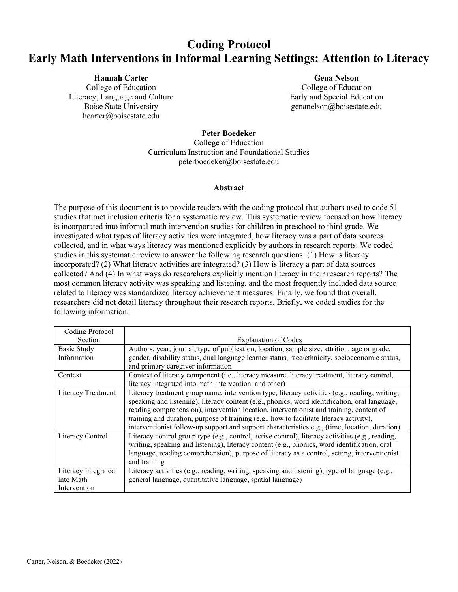## **Coding Protocol Early Math Interventions in Informal Learning Settings: Attention to Literacy**

**Hannah Carter** College of Education Literacy, Language and Culture Boise State University hcarter@boisestate.edu

**Gena Nelson** College of Education Early and Special Education genanelson@boisestate.edu

**Peter Boedeker**

College of Education Curriculum Instruction and Foundational Studies peterboedeker@boisestate.edu

#### **Abstract**

The purpose of this document is to provide readers with the coding protocol that authors used to code 51 studies that met inclusion criteria for a systematic review. This systematic review focused on how literacy is incorporated into informal math intervention studies for children in preschool to third grade. We investigated what types of literacy activities were integrated, how literacy was a part of data sources collected, and in what ways literacy was mentioned explicitly by authors in research reports. We coded studies in this systematic review to answer the following research questions: (1) How is literacy incorporated? (2) What literacy activities are integrated? (3) How is literacy a part of data sources collected? And (4) In what ways do researchers explicitly mention literacy in their research reports? The most common literacy activity was speaking and listening, and the most frequently included data source related to literacy was standardized literacy achievement measures. Finally, we found that overall, researchers did not detail literacy throughout their research reports. Briefly, we coded studies for the following information:

| Coding Protocol     |                                                                                                  |
|---------------------|--------------------------------------------------------------------------------------------------|
| Section             | <b>Explanation of Codes</b>                                                                      |
| Basic Study         | Authors, year, journal, type of publication, location, sample size, attrition, age or grade,     |
| Information         | gender, disability status, dual language learner status, race/ethnicity, socioeconomic status,   |
|                     | and primary caregiver information                                                                |
| Context             | Context of literacy component (i.e., literacy measure, literacy treatment, literacy control,     |
|                     | literacy integrated into math intervention, and other)                                           |
| Literacy Treatment  | Literacy treatment group name, intervention type, literacy activities (e.g., reading, writing,   |
|                     | speaking and listening), literacy content (e.g., phonics, word identification, oral language,    |
|                     | reading comprehension), intervention location, interventionist and training, content of          |
|                     | training and duration, purpose of training (e.g., how to facilitate literacy activity),          |
|                     | interventionist follow-up support and support characteristics e.g., (time, location, duration)   |
| Literacy Control    | Literacy control group type (e.g., control, active control), literacy activities (e.g., reading, |
|                     | writing, speaking and listening), literacy content (e.g., phonics, word identification, oral     |
|                     | language, reading comprehension), purpose of literacy as a control, setting, interventionist     |
|                     | and training                                                                                     |
| Literacy Integrated | Literacy activities (e.g., reading, writing, speaking and listening), type of language (e.g.,    |
| into Math           | general language, quantitative language, spatial language)                                       |
| Intervention        |                                                                                                  |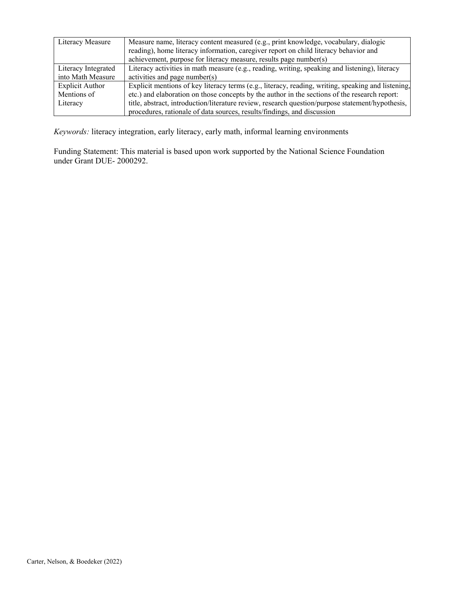| Literacy Measure       | Measure name, literacy content measured (e.g., print knowledge, vocabulary, dialogic<br>reading), home literacy information, caregiver report on child literacy behavior and<br>achievement, purpose for literacy measure, results page number(s) |
|------------------------|---------------------------------------------------------------------------------------------------------------------------------------------------------------------------------------------------------------------------------------------------|
| Literacy Integrated    | Literacy activities in math measure (e.g., reading, writing, speaking and listening), literacy                                                                                                                                                    |
| into Math Measure      | activities and page number(s)                                                                                                                                                                                                                     |
| <b>Explicit Author</b> | Explicit mentions of key literacy terms (e.g., literacy, reading, writing, speaking and listening,                                                                                                                                                |
| Mentions of            | etc.) and elaboration on those concepts by the author in the sections of the research report:                                                                                                                                                     |
| Literacy               | title, abstract, introduction/literature review, research question/purpose statement/hypothesis,                                                                                                                                                  |
|                        | procedures, rationale of data sources, results/findings, and discussion                                                                                                                                                                           |

*Keywords:* literacy integration, early literacy, early math, informal learning environments

Funding Statement: This material is based upon work supported by the National Science Foundation under Grant DUE- 2000292.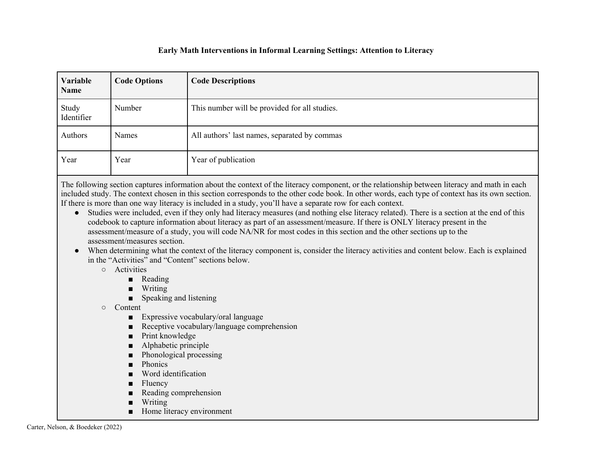### **Early Math Interventions in Informal Learning Settings: Attention to Literacy**

| Variable<br>Name    | <b>Code Options</b> | <b>Code Descriptions</b>                      |
|---------------------|---------------------|-----------------------------------------------|
| Study<br>Identifier | Number              | This number will be provided for all studies. |
| Authors             | Names               | All authors' last names, separated by commas  |
| Year                | Year                | Year of publication                           |

The following section captures information about the context of the literacy component, or the relationship between literacy and math in each included study. The context chosen in this section corresponds to the other code book. In other words, each type of context has its own section. If there is more than one way literacy is included in a study, you'll have a separate row for each context.

- Studies were included, even if they only had literacy measures (and nothing else literacy related). There is a section at the end of this codebook to capture information about literacy as part of an assessment/measure. If there is ONLY literacy present in the assessment/measure of a study, you will code NA/NR for most codes in this section and the other sections up to the assessment/measures section.
- When determining what the context of the literacy component is, consider the literacy activities and content below. Each is explained in the "Activities" and "Content" sections below.
	- Activities
		- Reading
		- Writing
		- Speaking and listening
	- Content
		- Expressive vocabulary/oral language
		- Receptive vocabulary/language comprehension
		- Print knowledge
		- Alphabetic principle
		- Phonological processing
		- Phonics
		- Word identification
		- **Fluency**
		- Reading comprehension
		- Writing
		- Home literacy environment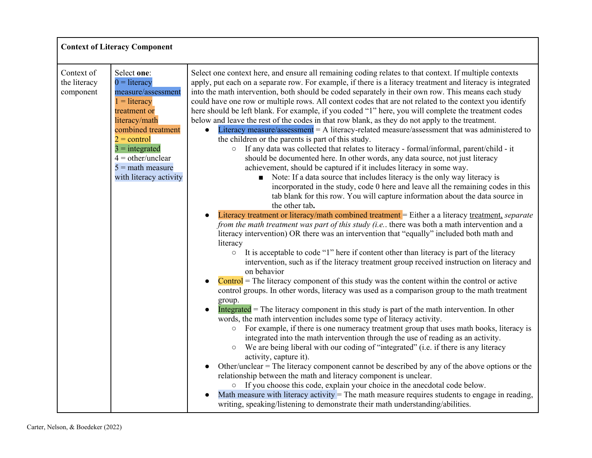| Select one context here, and ensure all remaining coding relates to that context. If multiple contexts<br>apply, put each on a separate row. For example, if there is a literacy treatment and literacy is integrated<br>into the math intervention, both should be coded separately in their own row. This means each study<br>could have one row or multiple rows. All context codes that are not related to the context you identify<br>here should be left blank. For example, if you coded "1" here, you will complete the treatment codes<br>below and leave the rest of the codes in that row blank, as they do not apply to the treatment.<br>Literacy measure/assessment $=$ A literacy-related measure/assessment that was administered to<br>$\bullet$<br>the children or the parents is part of this study.<br>If any data was collected that relates to literacy - formal/informal, parent/child - it<br>$\circ$<br>should be documented here. In other words, any data source, not just literacy<br>achievement, should be captured if it includes literacy in some way.<br>• Note: If a data source that includes literacy is the only way literacy is<br>incorporated in the study, code 0 here and leave all the remaining codes in this<br>tab blank for this row. You will capture information about the data source in<br>the other tab.<br>Literacy treatment or literacy/math combined treatment = Either a a literacy treatment, separate<br>from the math treatment was part of this study (i.e., there was both a math intervention and a<br>literacy intervention) OR there was an intervention that "equally" included both math and<br>literacy<br>It is acceptable to code "1" here if content other than literacy is part of the literacy<br>$\circ$<br>intervention, such as if the literacy treatment group received instruction on literacy and<br>on behavior<br>$\text{Control}$ = The literacy component of this study was the content within the control or active<br>$\bullet$<br>control groups. In other words, literacy was used as a comparison group to the math treatment<br>group.<br>Integrated $=$ The literacy component in this study is part of the math intervention. In other<br>words, the math intervention includes some type of literacy activity.<br>For example, if there is one numeracy treatment group that uses math books, literacy is<br>$\circ$<br>integrated into the math intervention through the use of reading as an activity.<br>We are being liberal with our coding of "integrated" (i.e. if there is any literacy<br>$\circ$<br>activity, capture it).<br>Other/unclear = The literacy component cannot be described by any of the above options or the<br>$\bullet$<br>relationship between the math and literacy component is unclear.<br>If you choose this code, explain your choice in the anecdotal code below.<br>$\bigcirc$<br>Math measure with literacy activity = The math measure requires students to engage in reading,<br>writing, speaking/listening to demonstrate their math understanding/abilities. |
|---------------------------------------------------------------------------------------------------------------------------------------------------------------------------------------------------------------------------------------------------------------------------------------------------------------------------------------------------------------------------------------------------------------------------------------------------------------------------------------------------------------------------------------------------------------------------------------------------------------------------------------------------------------------------------------------------------------------------------------------------------------------------------------------------------------------------------------------------------------------------------------------------------------------------------------------------------------------------------------------------------------------------------------------------------------------------------------------------------------------------------------------------------------------------------------------------------------------------------------------------------------------------------------------------------------------------------------------------------------------------------------------------------------------------------------------------------------------------------------------------------------------------------------------------------------------------------------------------------------------------------------------------------------------------------------------------------------------------------------------------------------------------------------------------------------------------------------------------------------------------------------------------------------------------------------------------------------------------------------------------------------------------------------------------------------------------------------------------------------------------------------------------------------------------------------------------------------------------------------------------------------------------------------------------------------------------------------------------------------------------------------------------------------------------------------------------------------------------------------------------------------------------------------------------------------------------------------------------------------------------------------------------------------------------------------------------------------------------------------------------------------------------------------------------------------------------------------------------------------------------------------------------------------------------------------------------------------------------------------------------------------------------------------------------------------------------------------------------|
|                                                                                                                                                                                                                                                                                                                                                                                                                                                                                                                                                                                                                                                                                                                                                                                                                                                                                                                                                                                                                                                                                                                                                                                                                                                                                                                                                                                                                                                                                                                                                                                                                                                                                                                                                                                                                                                                                                                                                                                                                                                                                                                                                                                                                                                                                                                                                                                                                                                                                                                                                                                                                                                                                                                                                                                                                                                                                                                                                                                                                                                                                                   |

٦

 $\mathbf{r}$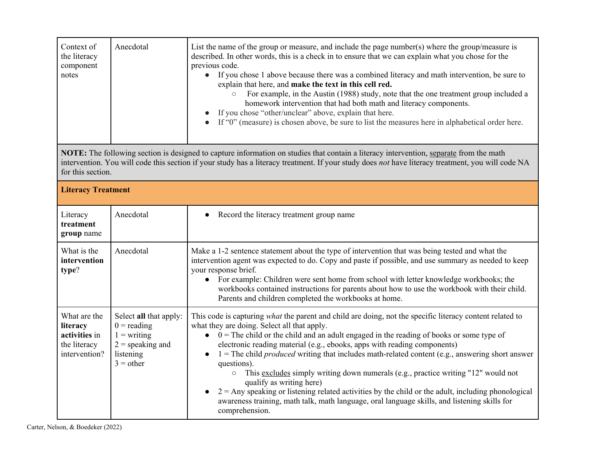| Context of<br>the literacy<br>component<br>notes                           | Anecdotal                                                                                                  | List the name of the group or measure, and include the page number(s) where the group/measure is<br>described. In other words, this is a check in to ensure that we can explain what you chose for the<br>previous code.<br>• If you chose 1 above because there was a combined literacy and math intervention, be sure to<br>explain that here, and make the text in this cell red.<br>For example, in the Austin (1988) study, note that the one treatment group included a<br>homework intervention that had both math and literacy components.<br>If you chose "other/unclear" above, explain that here.<br>If "0" (measure) is chosen above, be sure to list the measures here in alphabetical order here.                                                                                                                                  |
|----------------------------------------------------------------------------|------------------------------------------------------------------------------------------------------------|--------------------------------------------------------------------------------------------------------------------------------------------------------------------------------------------------------------------------------------------------------------------------------------------------------------------------------------------------------------------------------------------------------------------------------------------------------------------------------------------------------------------------------------------------------------------------------------------------------------------------------------------------------------------------------------------------------------------------------------------------------------------------------------------------------------------------------------------------|
| for this section.                                                          |                                                                                                            | NOTE: The following section is designed to capture information on studies that contain a literacy intervention, separate from the math<br>intervention. You will code this section if your study has a literacy treatment. If your study does not have literacy treatment, you will code NA                                                                                                                                                                                                                                                                                                                                                                                                                                                                                                                                                      |
| <b>Literacy Treatment</b>                                                  |                                                                                                            |                                                                                                                                                                                                                                                                                                                                                                                                                                                                                                                                                                                                                                                                                                                                                                                                                                                  |
| Literacy<br>treatment<br>group name                                        | Anecdotal                                                                                                  | Record the literacy treatment group name<br>$\bullet$                                                                                                                                                                                                                                                                                                                                                                                                                                                                                                                                                                                                                                                                                                                                                                                            |
| What is the<br>intervention<br>type?                                       | Anecdotal                                                                                                  | Make a 1-2 sentence statement about the type of intervention that was being tested and what the<br>intervention agent was expected to do. Copy and paste if possible, and use summary as needed to keep<br>your response brief.<br>• For example: Children were sent home from school with letter knowledge workbooks; the<br>workbooks contained instructions for parents about how to use the workbook with their child.<br>Parents and children completed the workbooks at home.                                                                                                                                                                                                                                                                                                                                                              |
| What are the<br>literacy<br>activities in<br>the literacy<br>intervention? | Select all that apply:<br>$0 =$ reading<br>$1 = writing$<br>$2$ = speaking and<br>listening<br>$3 =$ other | This code is capturing <i>what</i> the parent and child are doing, not the specific literacy content related to<br>what they are doing. Select all that apply.<br>$\bullet$ 0 = The child or the child and an adult engaged in the reading of books or some type of<br>electronic reading material (e.g., ebooks, apps with reading components)<br>$1 =$ The child <i>produced</i> writing that includes math-related content (e.g., answering short answer<br>questions).<br>This excludes simply writing down numerals (e.g., practice writing "12" would not<br>$\bigcirc$<br>qualify as writing here)<br>$2 =$ Any speaking or listening related activities by the child or the adult, including phonological<br>$\bullet$<br>awareness training, math talk, math language, oral language skills, and listening skills for<br>comprehension. |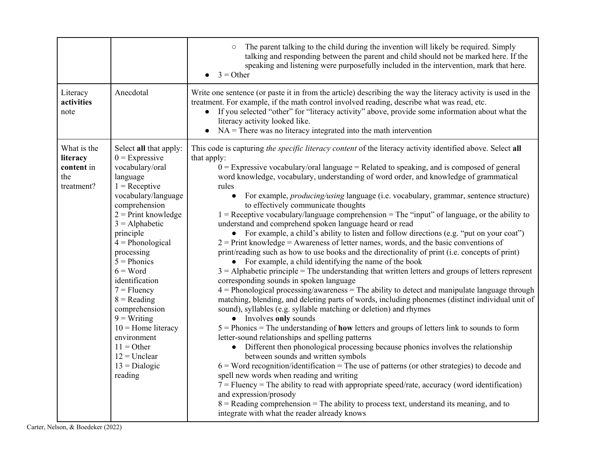|                                                            |                                                                                                                                                                                                                                                                                                                                                                                                                                                                | The parent talking to the child during the invention will likely be required. Simply<br>$\circ$<br>talking and responding between the parent and child should not be marked here. If the<br>speaking and listening were purposefully included in the intervention, mark that here.<br>$3 = Other$<br>$\bullet$                                                                                                                                                                                                                                                                                                                                                                                                                                                                                                                                                                                                                                                                                                                                                                                                                                                                                                                                                                                                                                                                                                                                                                                                                                                                                                                                                                                                                                                                                                                                                                                                                                                                                                                                                                                                                                                                       |
|------------------------------------------------------------|----------------------------------------------------------------------------------------------------------------------------------------------------------------------------------------------------------------------------------------------------------------------------------------------------------------------------------------------------------------------------------------------------------------------------------------------------------------|--------------------------------------------------------------------------------------------------------------------------------------------------------------------------------------------------------------------------------------------------------------------------------------------------------------------------------------------------------------------------------------------------------------------------------------------------------------------------------------------------------------------------------------------------------------------------------------------------------------------------------------------------------------------------------------------------------------------------------------------------------------------------------------------------------------------------------------------------------------------------------------------------------------------------------------------------------------------------------------------------------------------------------------------------------------------------------------------------------------------------------------------------------------------------------------------------------------------------------------------------------------------------------------------------------------------------------------------------------------------------------------------------------------------------------------------------------------------------------------------------------------------------------------------------------------------------------------------------------------------------------------------------------------------------------------------------------------------------------------------------------------------------------------------------------------------------------------------------------------------------------------------------------------------------------------------------------------------------------------------------------------------------------------------------------------------------------------------------------------------------------------------------------------------------------------|
| Literacy<br>activities<br>note                             | Anecdotal                                                                                                                                                                                                                                                                                                                                                                                                                                                      | Write one sentence (or paste it in from the article) describing the way the literacy activity is used in the<br>treatment. For example, if the math control involved reading, describe what was read, etc.<br>If you selected "other" for "literacy activity" above, provide some information about what the<br>$\bullet$<br>literacy activity looked like.<br>$NA$ = There was no literacy integrated into the math intervention<br>$\bullet$                                                                                                                                                                                                                                                                                                                                                                                                                                                                                                                                                                                                                                                                                                                                                                                                                                                                                                                                                                                                                                                                                                                                                                                                                                                                                                                                                                                                                                                                                                                                                                                                                                                                                                                                       |
| What is the<br>literacy<br>content in<br>the<br>treatment? | Select all that apply:<br>$0 =$ Expressive<br>vocabulary/oral<br>language<br>$1 =$ Receptive<br>vocabulary/language<br>comprehension<br>$2$ = Print knowledge<br>$3 =$ Alphabetic<br>principle<br>$4 = Phonological$<br>processing<br>$5 = Phonics$<br>$6 = Word$<br>identification<br>$7 =$ Fluency<br>$8 = Reading$<br>comprehension<br>$9 = Writing$<br>$10$ = Home literacy<br>environment<br>$11 =$ Other<br>$12$ = Unclear<br>$13 = Dialogic$<br>reading | This code is capturing the specific literacy content of the literacy activity identified above. Select all<br>that apply:<br>$0 =$ Expressive vocabulary/oral language = Related to speaking, and is composed of general<br>word knowledge, vocabulary, understanding of word order, and knowledge of grammatical<br>rules<br>For example, <i>producing/using</i> language (i.e. vocabulary, grammar, sentence structure)<br>$\bullet$<br>to effectively communicate thoughts<br>$1 =$ Receptive vocabulary/language comprehension = The "input" of language, or the ability to<br>understand and comprehend spoken language heard or read<br>• For example, a child's ability to listen and follow directions (e.g. "put on your coat")<br>$2$ = Print knowledge = Awareness of letter names, words, and the basic conventions of<br>print/reading such as how to use books and the directionality of print (i.e. concepts of print)<br>• For example, a child identifying the name of the book<br>$3 =$ Alphabetic principle = The understanding that written letters and groups of letters represent<br>corresponding sounds in spoken language<br>$4$ = Phonological processing/awareness = The ability to detect and manipulate language through<br>matching, blending, and deleting parts of words, including phonemes (distinct individual unit of<br>sound), syllables (e.g. syllable matching or deletion) and rhymes<br>• Involves only sounds<br>$5 =$ Phonics = The understanding of <b>how</b> letters and groups of letters link to sounds to form<br>letter-sound relationships and spelling patterns<br>Different then phonological processing because phonics involves the relationship<br>$\bullet$<br>between sounds and written symbols<br>$6 = Word recognition/identification = The use of patterns (or other strategies) to decode and$<br>spell new words when reading and writing<br>$7 =$ Fluency = The ability to read with appropriate speed/rate, accuracy (word identification)<br>and expression/prosody<br>$8$ = Reading comprehension = The ability to process text, understand its meaning, and to<br>integrate with what the reader already knows |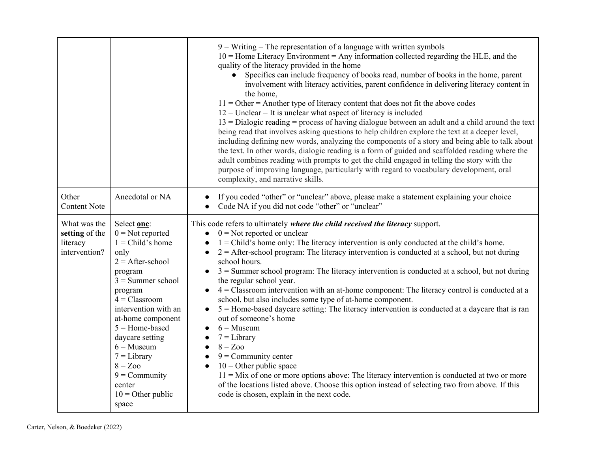|                                                             |                                                                                                                                                                                                                                                                                                                                                      | $9 = Writing$ = The representation of a language with written symbols<br>$10$ = Home Literacy Environment = Any information collected regarding the HLE, and the<br>quality of the literacy provided in the home<br>Specifics can include frequency of books read, number of books in the home, parent<br>$\bullet$<br>involvement with literacy activities, parent confidence in delivering literacy content in<br>the home,<br>$11 =$ Other = Another type of literacy content that does not fit the above codes<br>$12$ = Unclear = It is unclear what aspect of literacy is included<br>$13 =$ Dialogic reading = process of having dialogue between an adult and a child around the text<br>being read that involves asking questions to help children explore the text at a deeper level,<br>including defining new words, analyzing the components of a story and being able to talk about<br>the text. In other words, dialogic reading is a form of guided and scaffolded reading where the<br>adult combines reading with prompts to get the child engaged in telling the story with the<br>purpose of improving language, particularly with regard to vocabulary development, oral<br>complexity, and narrative skills. |
|-------------------------------------------------------------|------------------------------------------------------------------------------------------------------------------------------------------------------------------------------------------------------------------------------------------------------------------------------------------------------------------------------------------------------|------------------------------------------------------------------------------------------------------------------------------------------------------------------------------------------------------------------------------------------------------------------------------------------------------------------------------------------------------------------------------------------------------------------------------------------------------------------------------------------------------------------------------------------------------------------------------------------------------------------------------------------------------------------------------------------------------------------------------------------------------------------------------------------------------------------------------------------------------------------------------------------------------------------------------------------------------------------------------------------------------------------------------------------------------------------------------------------------------------------------------------------------------------------------------------------------------------------------------------|
| Other<br><b>Content Note</b>                                | Anecdotal or NA                                                                                                                                                                                                                                                                                                                                      | If you coded "other" or "unclear" above, please make a statement explaining your choice<br>Code NA if you did not code "other" or "unclear"<br>$\bullet$                                                                                                                                                                                                                                                                                                                                                                                                                                                                                                                                                                                                                                                                                                                                                                                                                                                                                                                                                                                                                                                                           |
| What was the<br>setting of the<br>literacy<br>intervention? | Select one:<br>$0 = Not$ reported<br>$1 = Child's home$<br>only<br>$2 =$ After-school<br>program<br>$3 =$ Summer school<br>program<br>$4$ = Classroom<br>intervention with an<br>at-home component<br>$5 =$ Home-based<br>daycare setting<br>$6 =$ Museum<br>$7 = Library$<br>$8 = Zoo$<br>$9 =$ Community<br>center<br>$10 =$ Other public<br>space | This code refers to ultimately where the child received the literacy support.<br>$0 = Not$ reported or unclear<br>$\bullet$<br>$1 =$ Child's home only: The literacy intervention is only conducted at the child's home.<br>$2 =$ After-school program: The literacy intervention is conducted at a school, but not during<br>school hours.<br>$3$ = Summer school program: The literacy intervention is conducted at a school, but not during<br>the regular school year.<br>$4$ = Classroom intervention with an at-home component: The literacy control is conducted at a<br>school, but also includes some type of at-home component.<br>5 = Home-based daycare setting: The literacy intervention is conducted at a daycare that is ran<br>out of someone's home<br>$6 =$ Museum<br>$7 = Library$<br>$8 = Zoo$<br>$9 =$ Community center<br>$10 =$ Other public space<br>$11 =$ Mix of one or more options above: The literacy intervention is conducted at two or more<br>of the locations listed above. Choose this option instead of selecting two from above. If this<br>code is chosen, explain in the next code.                                                                                                        |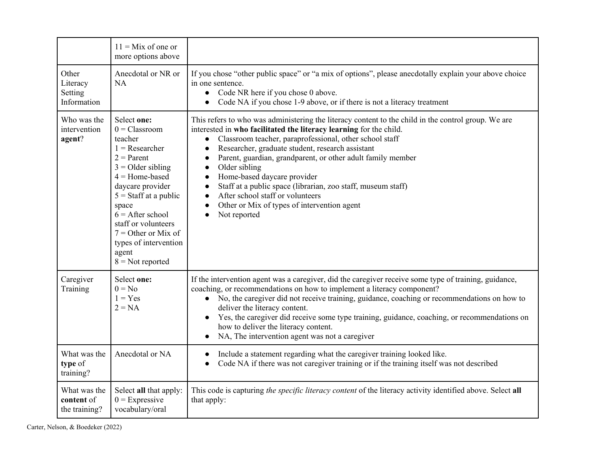|                                             | $11 =$ Mix of one or<br>more options above                                                                                                                                                                                                                                                                     |                                                                                                                                                                                                                                                                                                                                                                                                                                                                                                                                                                                                                                                          |
|---------------------------------------------|----------------------------------------------------------------------------------------------------------------------------------------------------------------------------------------------------------------------------------------------------------------------------------------------------------------|----------------------------------------------------------------------------------------------------------------------------------------------------------------------------------------------------------------------------------------------------------------------------------------------------------------------------------------------------------------------------------------------------------------------------------------------------------------------------------------------------------------------------------------------------------------------------------------------------------------------------------------------------------|
| Other<br>Literacy<br>Setting<br>Information | Anecdotal or NR or<br><b>NA</b>                                                                                                                                                                                                                                                                                | If you chose "other public space" or "a mix of options", please anecdotally explain your above choice<br>in one sentence.<br>Code NR here if you chose 0 above.<br>$\bullet$<br>Code NA if you chose 1-9 above, or if there is not a literacy treatment<br>$\bullet$                                                                                                                                                                                                                                                                                                                                                                                     |
| Who was the<br>intervention<br>agent?       | Select one:<br>$0 = Classroom$<br>teacher<br>$1 =$ Researcher<br>$2 =$ Parent<br>$3 =$ Older sibling<br>$4 =$ Home-based<br>daycare provider<br>$5 =$ Staff at a public<br>space<br>$6 =$ After school<br>staff or volunteers<br>$7 =$ Other or Mix of<br>types of intervention<br>agent<br>$8 = Not$ reported | This refers to who was administering the literacy content to the child in the control group. We are<br>interested in who facilitated the literacy learning for the child.<br>Classroom teacher, paraprofessional, other school staff<br>$\bullet$<br>Researcher, graduate student, research assistant<br>$\bullet$<br>Parent, guardian, grandparent, or other adult family member<br>$\bullet$<br>Older sibling<br>$\bullet$<br>Home-based daycare provider<br>$\bullet$<br>Staff at a public space (librarian, zoo staff, museum staff)<br>$\bullet$<br>After school staff or volunteers<br>Other or Mix of types of intervention agent<br>Not reported |
| Caregiver<br>Training                       | Select one:<br>$0 = No$<br>$1 = Yes$<br>$2 = NA$                                                                                                                                                                                                                                                               | If the intervention agent was a caregiver, did the caregiver receive some type of training, guidance,<br>coaching, or recommendations on how to implement a literacy component?<br>• No, the caregiver did not receive training, guidance, coaching or recommendations on how to<br>deliver the literacy content.<br>Yes, the caregiver did receive some type training, guidance, coaching, or recommendations on<br>how to deliver the literacy content.<br>NA, The intervention agent was not a caregiver<br>$\bullet$                                                                                                                                 |
| What was the<br>type of<br>training?        | Anecdotal or NA                                                                                                                                                                                                                                                                                                | Include a statement regarding what the caregiver training looked like.<br>$\bullet$<br>Code NA if there was not caregiver training or if the training itself was not described                                                                                                                                                                                                                                                                                                                                                                                                                                                                           |
| What was the<br>content of<br>the training? | Select all that apply:<br>$0 =$ Expressive<br>vocabulary/oral                                                                                                                                                                                                                                                  | This code is capturing the specific literacy content of the literacy activity identified above. Select all<br>that apply:                                                                                                                                                                                                                                                                                                                                                                                                                                                                                                                                |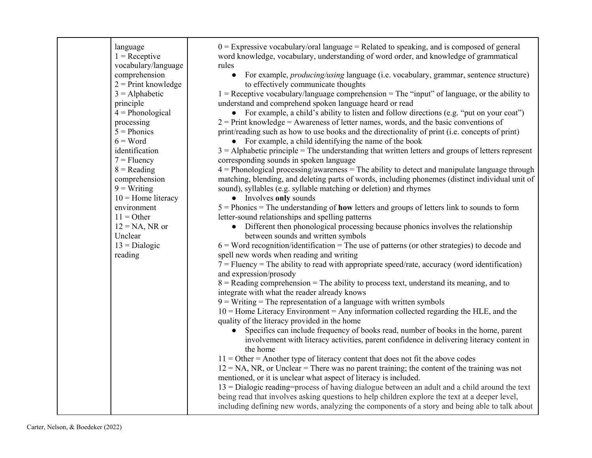| language<br>$1 =$ Receptive<br>vocabulary/language<br>comprehension<br>$2$ = Print knowledge<br>$3 =$ Alphabetic<br>principle<br>$4 = Phonological$<br>processing<br>$5 = Phonics$<br>$6 = Word$<br>identification<br>$7 =$ Fluency<br>$8 =$ Reading<br>comprehension<br>$9 = Writing$<br>$10$ = Home literacy<br>environment<br>$11 = Other$<br>$12 = NA$ , NR or<br>Unclear<br>$13 = Dialogic$<br>reading | $0 =$ Expressive vocabulary/oral language = Related to speaking, and is composed of general<br>word knowledge, vocabulary, understanding of word order, and knowledge of grammatical<br>rules<br>For example, <i>producing/using</i> language (i.e. vocabulary, grammar, sentence structure)<br>$\bullet$<br>to effectively communicate thoughts<br>$1 =$ Receptive vocabulary/language comprehension = The "input" of language, or the ability to<br>understand and comprehend spoken language heard or read<br>• For example, a child's ability to listen and follow directions (e.g. "put on your coat")<br>$2 =$ Print knowledge = Awareness of letter names, words, and the basic conventions of<br>print/reading such as how to use books and the directionality of print (i.e. concepts of print)<br>• For example, a child identifying the name of the book<br>$3 =$ Alphabetic principle = The understanding that written letters and groups of letters represent<br>corresponding sounds in spoken language<br>$4$ = Phonological processing/awareness = The ability to detect and manipulate language through<br>matching, blending, and deleting parts of words, including phonemes (distinct individual unit of<br>sound), syllables (e.g. syllable matching or deletion) and rhymes<br>• Involves only sounds<br>$5 =$ Phonics = The understanding of <b>how</b> letters and groups of letters link to sounds to form<br>letter-sound relationships and spelling patterns<br>• Different then phonological processing because phonics involves the relationship<br>between sounds and written symbols<br>$6 = Word recognition/identification = The use of patterns (or other strategies) to decode and$<br>spell new words when reading and writing<br>$7 =$ Fluency = The ability to read with appropriate speed/rate, accuracy (word identification)<br>and expression/prosody<br>$8$ = Reading comprehension = The ability to process text, understand its meaning, and to<br>integrate with what the reader already knows<br>$9$ = Writing = The representation of a language with written symbols<br>$10$ = Home Literacy Environment = Any information collected regarding the HLE, and the<br>quality of the literacy provided in the home<br>Specifics can include frequency of books read, number of books in the home, parent<br>$\bullet$<br>involvement with literacy activities, parent confidence in delivering literacy content in<br>the home<br>$11 =$ Other = Another type of literacy content that does not fit the above codes<br>$12 = NA$ , NR, or Unclear = There was no parent training; the content of the training was not<br>mentioned, or it is unclear what aspect of literacy is included.<br>$13$ = Dialogic reading=process of having dialogue between an adult and a child around the text<br>being read that involves asking questions to help children explore the text at a deeper level,<br>including defining new words, analyzing the components of a story and being able to talk about |
|-------------------------------------------------------------------------------------------------------------------------------------------------------------------------------------------------------------------------------------------------------------------------------------------------------------------------------------------------------------------------------------------------------------|------------------------------------------------------------------------------------------------------------------------------------------------------------------------------------------------------------------------------------------------------------------------------------------------------------------------------------------------------------------------------------------------------------------------------------------------------------------------------------------------------------------------------------------------------------------------------------------------------------------------------------------------------------------------------------------------------------------------------------------------------------------------------------------------------------------------------------------------------------------------------------------------------------------------------------------------------------------------------------------------------------------------------------------------------------------------------------------------------------------------------------------------------------------------------------------------------------------------------------------------------------------------------------------------------------------------------------------------------------------------------------------------------------------------------------------------------------------------------------------------------------------------------------------------------------------------------------------------------------------------------------------------------------------------------------------------------------------------------------------------------------------------------------------------------------------------------------------------------------------------------------------------------------------------------------------------------------------------------------------------------------------------------------------------------------------------------------------------------------------------------------------------------------------------------------------------------------------------------------------------------------------------------------------------------------------------------------------------------------------------------------------------------------------------------------------------------------------------------------------------------------------------------------------------------------------------------------------------------------------------------------------------------------------------------------------------------------------------------------------------------------------------------------------------------------------------------------------------------------------------------------------------------------------------------------------------------------------------------------------------------------------------------------------------|
|-------------------------------------------------------------------------------------------------------------------------------------------------------------------------------------------------------------------------------------------------------------------------------------------------------------------------------------------------------------------------------------------------------------|------------------------------------------------------------------------------------------------------------------------------------------------------------------------------------------------------------------------------------------------------------------------------------------------------------------------------------------------------------------------------------------------------------------------------------------------------------------------------------------------------------------------------------------------------------------------------------------------------------------------------------------------------------------------------------------------------------------------------------------------------------------------------------------------------------------------------------------------------------------------------------------------------------------------------------------------------------------------------------------------------------------------------------------------------------------------------------------------------------------------------------------------------------------------------------------------------------------------------------------------------------------------------------------------------------------------------------------------------------------------------------------------------------------------------------------------------------------------------------------------------------------------------------------------------------------------------------------------------------------------------------------------------------------------------------------------------------------------------------------------------------------------------------------------------------------------------------------------------------------------------------------------------------------------------------------------------------------------------------------------------------------------------------------------------------------------------------------------------------------------------------------------------------------------------------------------------------------------------------------------------------------------------------------------------------------------------------------------------------------------------------------------------------------------------------------------------------------------------------------------------------------------------------------------------------------------------------------------------------------------------------------------------------------------------------------------------------------------------------------------------------------------------------------------------------------------------------------------------------------------------------------------------------------------------------------------------------------------------------------------------------------------------------------------|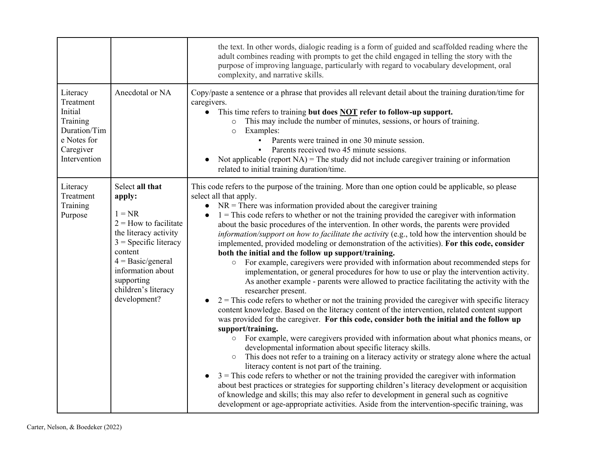|                                                                                                          |                                                                                                                                                                                                                                  | the text. In other words, dialogic reading is a form of guided and scaffolded reading where the<br>adult combines reading with prompts to get the child engaged in telling the story with the<br>purpose of improving language, particularly with regard to vocabulary development, oral<br>complexity, and narrative skills.                                                                                                                                                                                                                                                                                                                                                                                                                                                                                                                                                                                                                                                                                                                                                                                                                                                                                                                                                                                                                                                                                                                                                                                                                                                                                                                                                                                                                                                                                                                                                                                                                                                                                                                                                                    |
|----------------------------------------------------------------------------------------------------------|----------------------------------------------------------------------------------------------------------------------------------------------------------------------------------------------------------------------------------|--------------------------------------------------------------------------------------------------------------------------------------------------------------------------------------------------------------------------------------------------------------------------------------------------------------------------------------------------------------------------------------------------------------------------------------------------------------------------------------------------------------------------------------------------------------------------------------------------------------------------------------------------------------------------------------------------------------------------------------------------------------------------------------------------------------------------------------------------------------------------------------------------------------------------------------------------------------------------------------------------------------------------------------------------------------------------------------------------------------------------------------------------------------------------------------------------------------------------------------------------------------------------------------------------------------------------------------------------------------------------------------------------------------------------------------------------------------------------------------------------------------------------------------------------------------------------------------------------------------------------------------------------------------------------------------------------------------------------------------------------------------------------------------------------------------------------------------------------------------------------------------------------------------------------------------------------------------------------------------------------------------------------------------------------------------------------------------------------|
| Literacy<br>Treatment<br>Initial<br>Training<br>Duration/Tim<br>e Notes for<br>Caregiver<br>Intervention | Anecdotal or NA                                                                                                                                                                                                                  | Copy/paste a sentence or a phrase that provides all relevant detail about the training duration/time for<br>caregivers.<br>This time refers to training but does <b>NOT</b> refer to follow-up support.<br>This may include the number of minutes, sessions, or hours of training.<br>$\circ$<br>Examples:<br>$\circ$<br>Parents were trained in one 30 minute session.<br>Parents received two 45 minute sessions.<br>Not applicable (report $NA$ ) = The study did not include caregiver training or information<br>$\bullet$<br>related to initial training duration/time.                                                                                                                                                                                                                                                                                                                                                                                                                                                                                                                                                                                                                                                                                                                                                                                                                                                                                                                                                                                                                                                                                                                                                                                                                                                                                                                                                                                                                                                                                                                    |
| Literacy<br>Treatment<br>Training<br>Purpose                                                             | Select all that<br>apply:<br>$1 = NR$<br>$2 =$ How to facilitate<br>the literacy activity<br>$3$ = Specific literacy<br>content<br>$4 = Basic/general$<br>information about<br>supporting<br>children's literacy<br>development? | This code refers to the purpose of the training. More than one option could be applicable, so please<br>select all that apply.<br>$NR =$ There was information provided about the caregiver training<br>$\bullet$<br>$1 =$ This code refers to whether or not the training provided the caregiver with information<br>$\bullet$<br>about the basic procedures of the intervention. In other words, the parents were provided<br>information/support on how to facilitate the activity (e.g., told how the intervention should be<br>implemented, provided modeling or demonstration of the activities). For this code, consider<br>both the initial and the follow up support/training.<br>For example, caregivers were provided with information about recommended steps for<br>$\bigcirc$<br>implementation, or general procedures for how to use or play the intervention activity.<br>As another example - parents were allowed to practice facilitating the activity with the<br>researcher present.<br>$2 =$ This code refers to whether or not the training provided the caregiver with specific literacy<br>$\bullet$<br>content knowledge. Based on the literacy content of the intervention, related content support<br>was provided for the caregiver. For this code, consider both the initial and the follow up<br>support/training.<br>For example, were caregivers provided with information about what phonics means, or<br>$\bigcirc$<br>developmental information about specific literacy skills.<br>This does not refer to a training on a literacy activity or strategy alone where the actual<br>$\bigcirc$<br>literacy content is not part of the training.<br>$3$ = This code refers to whether or not the training provided the caregiver with information<br>$\bullet$<br>about best practices or strategies for supporting children's literacy development or acquisition<br>of knowledge and skills; this may also refer to development in general such as cognitive<br>development or age-appropriate activities. Aside from the intervention-specific training, was |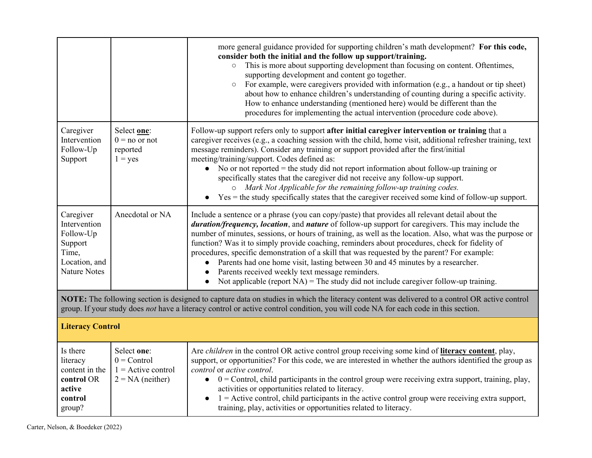|                                                                                                                                                                                                                                                                                     |                                                                            | more general guidance provided for supporting children's math development? For this code,<br>consider both the initial and the follow up support/training.<br>This is more about supporting development than focusing on content. Oftentimes,<br>$\circ$<br>supporting development and content go together.<br>For example, were caregivers provided with information (e.g., a handout or tip sheet)<br>$\circ$<br>about how to enhance children's understanding of counting during a specific activity.<br>How to enhance understanding (mentioned here) would be different than the<br>procedures for implementing the actual intervention (procedure code above).                                                                                              |  |
|-------------------------------------------------------------------------------------------------------------------------------------------------------------------------------------------------------------------------------------------------------------------------------------|----------------------------------------------------------------------------|-------------------------------------------------------------------------------------------------------------------------------------------------------------------------------------------------------------------------------------------------------------------------------------------------------------------------------------------------------------------------------------------------------------------------------------------------------------------------------------------------------------------------------------------------------------------------------------------------------------------------------------------------------------------------------------------------------------------------------------------------------------------|--|
| Caregiver<br>Intervention<br>Follow-Up<br>Support                                                                                                                                                                                                                                   | Select one:<br>$0 = no$ or not<br>reported<br>$1 = yes$                    | Follow-up support refers only to support after initial caregiver intervention or training that a<br>caregiver receives (e.g., a coaching session with the child, home visit, additional refresher training, text<br>message reminders). Consider any training or support provided after the first/initial<br>meeting/training/support. Codes defined as:<br>No or not reported $=$ the study did not report information about follow-up training or<br>$\bullet$<br>specifically states that the caregiver did not receive any follow-up support.<br>o Mark Not Applicable for the remaining follow-up training codes.<br>$Yes =$ the study specifically states that the caregiver received some kind of follow-up support.                                       |  |
| Caregiver<br>Intervention<br>Follow-Up<br>Support<br>Time,<br>Location, and<br><b>Nature Notes</b>                                                                                                                                                                                  | Anecdotal or NA                                                            | Include a sentence or a phrase (you can copy/paste) that provides all relevant detail about the<br>duration/frequency, location, and nature of follow-up support for caregivers. This may include the<br>number of minutes, sessions, or hours of training, as well as the location. Also, what was the purpose or<br>function? Was it to simply provide coaching, reminders about procedures, check for fidelity of<br>procedures, specific demonstration of a skill that was requested by the parent? For example:<br>Parents had one home visit, lasting between 30 and 45 minutes by a researcher.<br>$\bullet$<br>Parents received weekly text message reminders.<br>Not applicable (report $NA$ ) = The study did not include caregiver follow-up training. |  |
| NOTE: The following section is designed to capture data on studies in which the literacy content was delivered to a control OR active control<br>group. If your study does not have a literacy control or active control condition, you will code NA for each code in this section. |                                                                            |                                                                                                                                                                                                                                                                                                                                                                                                                                                                                                                                                                                                                                                                                                                                                                   |  |
|                                                                                                                                                                                                                                                                                     | <b>Literacy Control</b>                                                    |                                                                                                                                                                                                                                                                                                                                                                                                                                                                                                                                                                                                                                                                                                                                                                   |  |
| Is there<br>literacy<br>content in the<br>control OR<br>active<br>control<br>group?                                                                                                                                                                                                 | Select one:<br>$0 =$ Control<br>$1 =$ Active control<br>$2 = NA$ (neither) | Are <i>children</i> in the control OR active control group receiving some kind of <b>literacy content</b> , play,<br>support, or opportunities? For this code, we are interested in whether the authors identified the group as<br>control or active control.<br>$0 =$ Control, child participants in the control group were receiving extra support, training, play,<br>$\bullet$<br>activities or opportunities related to literacy.<br>$1 =$ Active control, child participants in the active control group were receiving extra support,<br>training, play, activities or opportunities related to literacy.                                                                                                                                                  |  |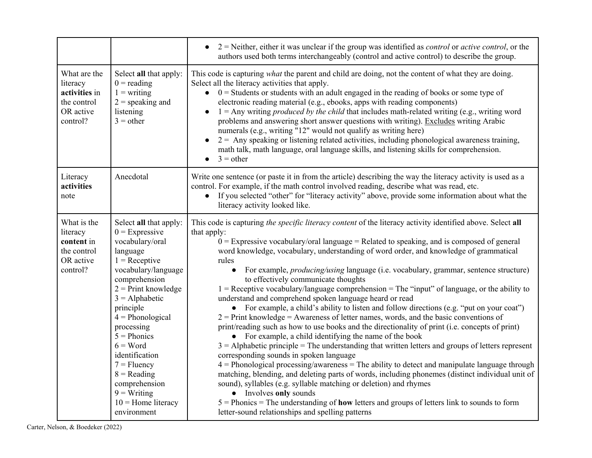|                                                                                   |                                                                                                                                                                                                                                                                                                                                                                                                | $2$ = Neither, either it was unclear if the group was identified as <i>control</i> or <i>active control</i> , or the<br>authors used both terms interchangeably (control and active control) to describe the group.                                                                                                                                                                                                                                                                                                                                                                                                                                                                                                                                                                                                                                                                                                                                                                                                                                                                                                                                                                                                                                                                                                                                                                                                                                                                                                                                                                                           |
|-----------------------------------------------------------------------------------|------------------------------------------------------------------------------------------------------------------------------------------------------------------------------------------------------------------------------------------------------------------------------------------------------------------------------------------------------------------------------------------------|---------------------------------------------------------------------------------------------------------------------------------------------------------------------------------------------------------------------------------------------------------------------------------------------------------------------------------------------------------------------------------------------------------------------------------------------------------------------------------------------------------------------------------------------------------------------------------------------------------------------------------------------------------------------------------------------------------------------------------------------------------------------------------------------------------------------------------------------------------------------------------------------------------------------------------------------------------------------------------------------------------------------------------------------------------------------------------------------------------------------------------------------------------------------------------------------------------------------------------------------------------------------------------------------------------------------------------------------------------------------------------------------------------------------------------------------------------------------------------------------------------------------------------------------------------------------------------------------------------------|
| What are the<br>literacy<br>activities in<br>the control<br>OR active<br>control? | Select all that apply:<br>$0 =$ reading<br>$1 = writing$<br>$2$ = speaking and<br>listening<br>$3 = other$                                                                                                                                                                                                                                                                                     | This code is capturing what the parent and child are doing, not the content of what they are doing.<br>Select all the literacy activities that apply.<br>$\bullet$ 0 = Students or students with an adult engaged in the reading of books or some type of<br>electronic reading material (e.g., ebooks, apps with reading components)<br>$1 =$ Any writing <i>produced by the child</i> that includes math-related writing (e.g., writing word<br>$\bullet$<br>problems and answering short answer questions with writing). Excludes writing Arabic<br>numerals (e.g., writing "12" would not qualify as writing here)<br>$2 =$ Any speaking or listening related activities, including phonological awareness training,<br>math talk, math language, oral language skills, and listening skills for comprehension.<br>$3 = other$<br>$\bullet$                                                                                                                                                                                                                                                                                                                                                                                                                                                                                                                                                                                                                                                                                                                                                               |
| Literacy<br>activities<br>note                                                    | Anecdotal                                                                                                                                                                                                                                                                                                                                                                                      | Write one sentence (or paste it in from the article) describing the way the literacy activity is used as a<br>control. For example, if the math control involved reading, describe what was read, etc.<br>If you selected "other" for "literacy activity" above, provide some information about what the<br>$\bullet$<br>literacy activity looked like.                                                                                                                                                                                                                                                                                                                                                                                                                                                                                                                                                                                                                                                                                                                                                                                                                                                                                                                                                                                                                                                                                                                                                                                                                                                       |
| What is the<br>literacy<br>content in<br>the control<br>OR active<br>control?     | Select all that apply:<br>$0 =$ Expressive<br>vocabulary/oral<br>language<br>$1 =$ Receptive<br>vocabulary/language<br>comprehension<br>$2$ = Print knowledge<br>$3 =$ Alphabetic<br>principle<br>$4 = Phonological$<br>processing<br>$5 = Phonics$<br>$6 = Word$<br>identification<br>$7 =$ Fluency<br>$8 = Reading$<br>comprehension<br>$9 = Writing$<br>$10$ = Home literacy<br>environment | This code is capturing the specific literacy content of the literacy activity identified above. Select all<br>that apply:<br>$0 =$ Expressive vocabulary/oral language = Related to speaking, and is composed of general<br>word knowledge, vocabulary, understanding of word order, and knowledge of grammatical<br>rules<br>For example, <i>producing/using</i> language (i.e. vocabulary, grammar, sentence structure)<br>$\bullet$<br>to effectively communicate thoughts<br>$1 =$ Receptive vocabulary/language comprehension = The "input" of language, or the ability to<br>understand and comprehend spoken language heard or read<br>• For example, a child's ability to listen and follow directions (e.g. "put on your coat")<br>$2$ = Print knowledge = Awareness of letter names, words, and the basic conventions of<br>print/reading such as how to use books and the directionality of print (i.e. concepts of print)<br>• For example, a child identifying the name of the book<br>$3 =$ Alphabetic principle = The understanding that written letters and groups of letters represent<br>corresponding sounds in spoken language<br>$4$ = Phonological processing/awareness = The ability to detect and manipulate language through<br>matching, blending, and deleting parts of words, including phonemes (distinct individual unit of<br>sound), syllables (e.g. syllable matching or deletion) and rhymes<br>• Involves only sounds<br>$5 =$ Phonics = The understanding of how letters and groups of letters link to sounds to form<br>letter-sound relationships and spelling patterns |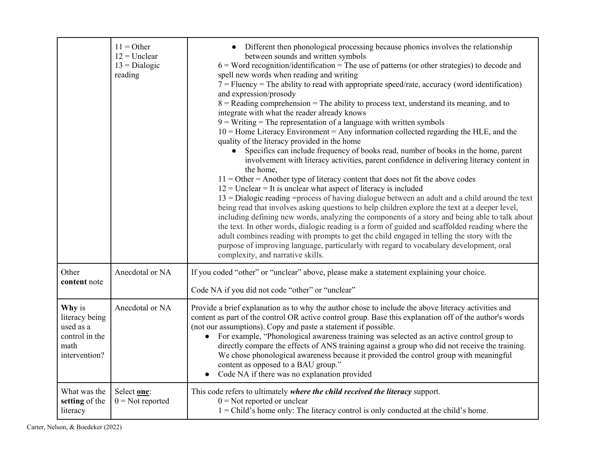|                                                                                  | $11 = Other$<br>$12 =$ Unclear<br>$13 = Dialogic$<br>reading | Different then phonological processing because phonics involves the relationship<br>between sounds and written symbols<br>$6 = Word recognition/identification = The use of patterns (or other strategies) to decode and$<br>spell new words when reading and writing<br>$7 =$ Fluency = The ability to read with appropriate speed/rate, accuracy (word identification)<br>and expression/prosody<br>$8$ = Reading comprehension = The ability to process text, understand its meaning, and to<br>integrate with what the reader already knows<br>$9$ = Writing = The representation of a language with written symbols<br>$10$ = Home Literacy Environment = Any information collected regarding the HLE, and the<br>quality of the literacy provided in the home<br>Specifics can include frequency of books read, number of books in the home, parent<br>$\bullet$<br>involvement with literacy activities, parent confidence in delivering literacy content in<br>the home,<br>$11 =$ Other = Another type of literacy content that does not fit the above codes<br>$12$ = Unclear = It is unclear what aspect of literacy is included<br>$13 =$ Dialogic reading = process of having dialogue between an adult and a child around the text<br>being read that involves asking questions to help children explore the text at a deeper level,<br>including defining new words, analyzing the components of a story and being able to talk about<br>the text. In other words, dialogic reading is a form of guided and scaffolded reading where the<br>adult combines reading with prompts to get the child engaged in telling the story with the<br>purpose of improving language, particularly with regard to vocabulary development, oral<br>complexity, and narrative skills. |  |
|----------------------------------------------------------------------------------|--------------------------------------------------------------|---------------------------------------------------------------------------------------------------------------------------------------------------------------------------------------------------------------------------------------------------------------------------------------------------------------------------------------------------------------------------------------------------------------------------------------------------------------------------------------------------------------------------------------------------------------------------------------------------------------------------------------------------------------------------------------------------------------------------------------------------------------------------------------------------------------------------------------------------------------------------------------------------------------------------------------------------------------------------------------------------------------------------------------------------------------------------------------------------------------------------------------------------------------------------------------------------------------------------------------------------------------------------------------------------------------------------------------------------------------------------------------------------------------------------------------------------------------------------------------------------------------------------------------------------------------------------------------------------------------------------------------------------------------------------------------------------------------------------------------------------------------------------------------|--|
| Other<br>content note                                                            | Anecdotal or NA                                              | If you coded "other" or "unclear" above, please make a statement explaining your choice.<br>Code NA if you did not code "other" or "unclear"                                                                                                                                                                                                                                                                                                                                                                                                                                                                                                                                                                                                                                                                                                                                                                                                                                                                                                                                                                                                                                                                                                                                                                                                                                                                                                                                                                                                                                                                                                                                                                                                                                          |  |
| Why is<br>literacy being<br>used as a<br>control in the<br>math<br>intervention? | Anecdotal or NA                                              | Provide a brief explanation as to why the author chose to include the above literacy activities and<br>content as part of the control OR active control group. Base this explanation off of the author's words<br>(not our assumptions). Copy and paste a statement if possible.<br>• For example, "Phonological awareness training was selected as an active control group to<br>directly compare the effects of ANS training against a group who did not receive the training.<br>We chose phonological awareness because it provided the control group with meaningful<br>content as opposed to a BAU group."<br>Code NA if there was no explanation provided                                                                                                                                                                                                                                                                                                                                                                                                                                                                                                                                                                                                                                                                                                                                                                                                                                                                                                                                                                                                                                                                                                                      |  |
| What was the<br>setting of the<br>literacy                                       | Select one:<br>$0 = Not$ reported                            | This code refers to ultimately where the child received the literacy support.<br>$0 =$ Not reported or unclear<br>1 = Child's home only: The literacy control is only conducted at the child's home.                                                                                                                                                                                                                                                                                                                                                                                                                                                                                                                                                                                                                                                                                                                                                                                                                                                                                                                                                                                                                                                                                                                                                                                                                                                                                                                                                                                                                                                                                                                                                                                  |  |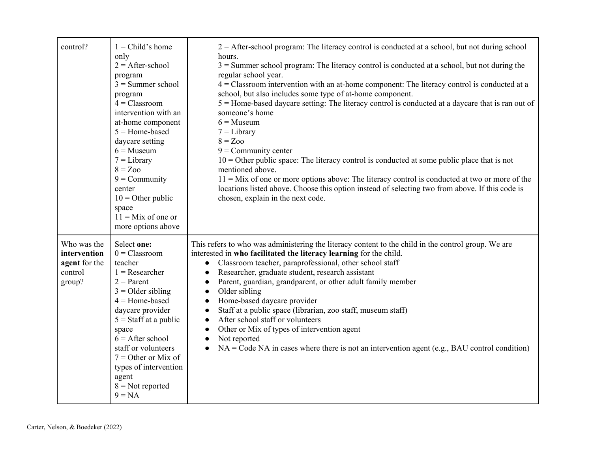| control?                                                          | $1 = Child's home$<br>only<br>$2 =$ After-school<br>program<br>$3 =$ Summer school<br>program<br>$4$ = Classroom<br>intervention with an<br>at-home component<br>$5 =$ Home-based<br>daycare setting<br>$6 =$ Museum<br>$7 = Library$<br>$8 = Zoo$<br>$9 =$ Community<br>center<br>$10 =$ Other public<br>space<br>$11 =$ Mix of one or<br>more options above | $2 =$ After-school program: The literacy control is conducted at a school, but not during school<br>hours.<br>$3 =$ Summer school program: The literacy control is conducted at a school, but not during the<br>regular school year.<br>$4$ = Classroom intervention with an at-home component: The literacy control is conducted at a<br>school, but also includes some type of at-home component.<br>$5 =$ Home-based daycare setting: The literacy control is conducted at a daycare that is ran out of<br>someone's home<br>$6 =$ Museum<br>$7 = Library$<br>$8 = Zoo$<br>$9 =$ Community center<br>$10 =$ Other public space: The literacy control is conducted at some public place that is not<br>mentioned above.<br>$11 = Mix$ of one or more options above: The literacy control is conducted at two or more of the<br>locations listed above. Choose this option instead of selecting two from above. If this code is<br>chosen, explain in the next code. |
|-------------------------------------------------------------------|---------------------------------------------------------------------------------------------------------------------------------------------------------------------------------------------------------------------------------------------------------------------------------------------------------------------------------------------------------------|-----------------------------------------------------------------------------------------------------------------------------------------------------------------------------------------------------------------------------------------------------------------------------------------------------------------------------------------------------------------------------------------------------------------------------------------------------------------------------------------------------------------------------------------------------------------------------------------------------------------------------------------------------------------------------------------------------------------------------------------------------------------------------------------------------------------------------------------------------------------------------------------------------------------------------------------------------------------------|
| Who was the<br>intervention<br>agent for the<br>control<br>group? | Select one:<br>$0 = Classroom$<br>teacher<br>$1 =$ Researcher<br>$2 = Parent$<br>$3 =$ Older sibling<br>$4 =$ Home-based<br>daycare provider<br>$5 =$ Staff at a public<br>space<br>$6 =$ After school<br>staff or volunteers<br>$7 =$ Other or Mix of<br>types of intervention<br>agent<br>$8 = Not$ reported<br>$9 = NA$                                    | This refers to who was administering the literacy content to the child in the control group. We are<br>interested in who facilitated the literacy learning for the child.<br>Classroom teacher, paraprofessional, other school staff<br>$\bullet$<br>Researcher, graduate student, research assistant<br>$\bullet$<br>Parent, guardian, grandparent, or other adult family member<br>$\bullet$<br>Older sibling<br>$\bullet$<br>Home-based daycare provider<br>$\bullet$<br>Staff at a public space (librarian, zoo staff, museum staff)<br>$\bullet$<br>After school staff or volunteers<br>$\bullet$<br>Other or Mix of types of intervention agent<br>$\bullet$<br>Not reported<br>$\bullet$<br>$NA = Code NA$ in cases where there is not an intervention agent (e.g., BAU control condition)<br>$\bullet$                                                                                                                                                        |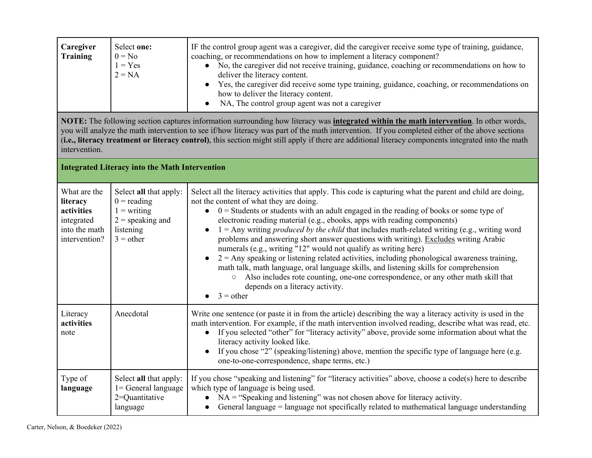| Caregiver<br><b>Training</b>                                                                                                                                                                                                                                                                                                                                                                                                                                             | Select one:<br>$0 = No$<br>$1 = Yes$<br>$2 = NA$                                                           | IF the control group agent was a caregiver, did the caregiver receive some type of training, guidance,<br>coaching, or recommendations on how to implement a literacy component?<br>• No, the caregiver did not receive training, guidance, coaching or recommendations on how to<br>deliver the literacy content.<br>Yes, the caregiver did receive some type training, guidance, coaching, or recommendations on<br>$\bullet$<br>how to deliver the literacy content.<br>NA, The control group agent was not a caregiver<br>$\bullet$                                                                                                                                                                                                                                                                                                                                                                                                                      |  |
|--------------------------------------------------------------------------------------------------------------------------------------------------------------------------------------------------------------------------------------------------------------------------------------------------------------------------------------------------------------------------------------------------------------------------------------------------------------------------|------------------------------------------------------------------------------------------------------------|--------------------------------------------------------------------------------------------------------------------------------------------------------------------------------------------------------------------------------------------------------------------------------------------------------------------------------------------------------------------------------------------------------------------------------------------------------------------------------------------------------------------------------------------------------------------------------------------------------------------------------------------------------------------------------------------------------------------------------------------------------------------------------------------------------------------------------------------------------------------------------------------------------------------------------------------------------------|--|
| NOTE: The following section captures information surrounding how literacy was <i>integrated within the math intervention</i> . In other words,<br>you will analyze the math intervention to see if/how literacy was part of the math intervention. If you completed either of the above sections<br>(i.e., literacy treatment or literacy control), this section might still apply if there are additional literacy components integrated into the math<br>intervention. |                                                                                                            |                                                                                                                                                                                                                                                                                                                                                                                                                                                                                                                                                                                                                                                                                                                                                                                                                                                                                                                                                              |  |
| <b>Integrated Literacy into the Math Intervention</b>                                                                                                                                                                                                                                                                                                                                                                                                                    |                                                                                                            |                                                                                                                                                                                                                                                                                                                                                                                                                                                                                                                                                                                                                                                                                                                                                                                                                                                                                                                                                              |  |
| What are the<br>literacy<br>activities<br>integrated<br>into the math<br>intervention?                                                                                                                                                                                                                                                                                                                                                                                   | Select all that apply:<br>$0 =$ reading<br>$1 = writing$<br>$2 =$ speaking and<br>listening<br>$3 = other$ | Select all the literacy activities that apply. This code is capturing what the parent and child are doing,<br>not the content of what they are doing.<br>$0 =$ Students or students with an adult engaged in the reading of books or some type of<br>$\bullet$<br>electronic reading material (e.g., ebooks, apps with reading components)<br>$1 =$ Any writing <i>produced by the child</i> that includes math-related writing (e.g., writing word<br>problems and answering short answer questions with writing). Excludes writing Arabic<br>numerals (e.g., writing "12" would not qualify as writing here)<br>$2 =$ Any speaking or listening related activities, including phonological awareness training,<br>math talk, math language, oral language skills, and listening skills for comprehension<br>Also includes rote counting, one-one correspondence, or any other math skill that<br>$\circ$<br>depends on a literacy activity.<br>$3 =$ other |  |
| Literacy<br>activities<br>note                                                                                                                                                                                                                                                                                                                                                                                                                                           | Anecdotal                                                                                                  | Write one sentence (or paste it in from the article) describing the way a literacy activity is used in the<br>math intervention. For example, if the math intervention involved reading, describe what was read, etc.<br>If you selected "other" for "literacy activity" above, provide some information about what the<br>$\bullet$<br>literacy activity looked like.<br>If you chose "2" (speaking/listening) above, mention the specific type of language here (e.g.<br>one-to-one-correspondence, shape terms, etc.)                                                                                                                                                                                                                                                                                                                                                                                                                                     |  |
| Type of<br>language                                                                                                                                                                                                                                                                                                                                                                                                                                                      | Select all that apply:<br>1= General language<br>2=Quantitative<br>language                                | If you chose "speaking and listening" for "literacy activities" above, choose a code(s) here to describe<br>which type of language is being used.<br>$NA$ = "Speaking and listening" was not chosen above for literacy activity.<br>General language = language not specifically related to mathematical language understanding                                                                                                                                                                                                                                                                                                                                                                                                                                                                                                                                                                                                                              |  |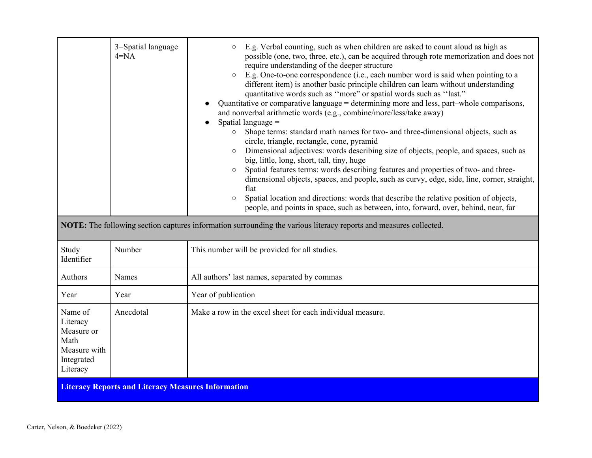|                                                                                     | 3=Spatial language<br>$4 = NA$ | E.g. Verbal counting, such as when children are asked to count aloud as high as<br>$\circ$<br>possible (one, two, three, etc.), can be acquired through rote memorization and does not<br>require understanding of the deeper structure<br>E.g. One-to-one correspondence (i.e., each number word is said when pointing to a<br>$\circ$<br>different item) is another basic principle children can learn without understanding<br>quantitative words such as "more" or spatial words such as "last."<br>Quantitative or comparative language = determining more and less, part-whole comparisons,<br>and nonverbal arithmetic words (e.g., combine/more/less/take away)<br>Spatial language =<br>Shape terms: standard math names for two- and three-dimensional objects, such as<br>$\circ$<br>circle, triangle, rectangle, cone, pyramid<br>Dimensional adjectives: words describing size of objects, people, and spaces, such as<br>$\circ$<br>big, little, long, short, tall, tiny, huge<br>Spatial features terms: words describing features and properties of two- and three-<br>$\circ$<br>dimensional objects, spaces, and people, such as curvy, edge, side, line, corner, straight,<br>flat<br>Spatial location and directions: words that describe the relative position of objects,<br>$\bigcirc$<br>people, and points in space, such as between, into, forward, over, behind, near, far<br>NOTE: The following section captures information surrounding the various literacy reports and measures collected. |  |
|-------------------------------------------------------------------------------------|--------------------------------|----------------------------------------------------------------------------------------------------------------------------------------------------------------------------------------------------------------------------------------------------------------------------------------------------------------------------------------------------------------------------------------------------------------------------------------------------------------------------------------------------------------------------------------------------------------------------------------------------------------------------------------------------------------------------------------------------------------------------------------------------------------------------------------------------------------------------------------------------------------------------------------------------------------------------------------------------------------------------------------------------------------------------------------------------------------------------------------------------------------------------------------------------------------------------------------------------------------------------------------------------------------------------------------------------------------------------------------------------------------------------------------------------------------------------------------------------------------------------------------------------------------------------|--|
| Study                                                                               | Number                         | This number will be provided for all studies.                                                                                                                                                                                                                                                                                                                                                                                                                                                                                                                                                                                                                                                                                                                                                                                                                                                                                                                                                                                                                                                                                                                                                                                                                                                                                                                                                                                                                                                                              |  |
| Identifier                                                                          |                                |                                                                                                                                                                                                                                                                                                                                                                                                                                                                                                                                                                                                                                                                                                                                                                                                                                                                                                                                                                                                                                                                                                                                                                                                                                                                                                                                                                                                                                                                                                                            |  |
| Authors                                                                             | Names                          | All authors' last names, separated by commas                                                                                                                                                                                                                                                                                                                                                                                                                                                                                                                                                                                                                                                                                                                                                                                                                                                                                                                                                                                                                                                                                                                                                                                                                                                                                                                                                                                                                                                                               |  |
| Year                                                                                | Year                           | Year of publication                                                                                                                                                                                                                                                                                                                                                                                                                                                                                                                                                                                                                                                                                                                                                                                                                                                                                                                                                                                                                                                                                                                                                                                                                                                                                                                                                                                                                                                                                                        |  |
| Name of<br>Literacy<br>Measure or<br>Math<br>Measure with<br>Integrated<br>Literacy | Anecdotal                      | Make a row in the excel sheet for each individual measure.                                                                                                                                                                                                                                                                                                                                                                                                                                                                                                                                                                                                                                                                                                                                                                                                                                                                                                                                                                                                                                                                                                                                                                                                                                                                                                                                                                                                                                                                 |  |
| <b>Literacy Reports and Literacy Measures Information</b>                           |                                |                                                                                                                                                                                                                                                                                                                                                                                                                                                                                                                                                                                                                                                                                                                                                                                                                                                                                                                                                                                                                                                                                                                                                                                                                                                                                                                                                                                                                                                                                                                            |  |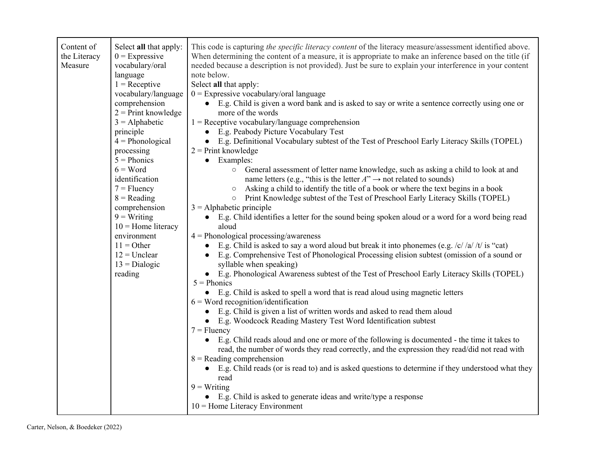| Content of<br>Select all that apply:<br>$0 =$ Expressive<br>the Literacy<br>vocabulary/oral<br>Measure<br>language<br>$1 =$ Receptive<br>comprehension<br>$2$ = Print knowledge<br>$3 =$ Alphabetic<br>principle<br>$4 = Phonological$<br>processing<br>$5 = Phonics$<br>$6 = Word$<br>identification<br>$7 =$ Fluency<br>$8 = Reading$<br>comprehension<br>$9 = Writing$<br>$10$ = Home literacy<br>environment<br>$11 = Other$<br>$12 =$ Unclear<br>$13 = Dialogic$<br>reading | This code is capturing the specific literacy content of the literacy measure/assessment identified above.<br>When determining the content of a measure, it is appropriate to make an inference based on the title (if<br>needed because a description is not provided). Just be sure to explain your interference in your content<br>note below.<br>Select all that apply:<br>vocabulary/language<br>$0 =$ Expressive vocabulary/oral language<br>E.g. Child is given a word bank and is asked to say or write a sentence correctly using one or<br>more of the words<br>$1 =$ Receptive vocabulary/language comprehension<br>E.g. Peabody Picture Vocabulary Test<br>$\bullet$<br>E.g. Definitional Vocabulary subtest of the Test of Preschool Early Literacy Skills (TOPEL)<br>$\bullet$<br>$2$ = Print knowledge<br>Examples:<br>$\bullet$<br>General assessment of letter name knowledge, such as asking a child to look at and<br>$\circ$<br>name letters (e.g., "this is the letter $A$ " $\rightarrow$ not related to sounds)<br>Asking a child to identify the title of a book or where the text begins in a book<br>$\circ$<br>Print Knowledge subtest of the Test of Preschool Early Literacy Skills (TOPEL)<br>$\circ$<br>$3 =$ Alphabetic principle<br>E.g. Child identifies a letter for the sound being spoken aloud or a word for a word being read<br>$\bullet$<br>aloud<br>$4 = Phonological processing/awareness$<br>E.g. Child is asked to say a word aloud but break it into phonemes (e.g. $\frac{c}{d}$ /t/ is "cat)<br>$\bullet$<br>E.g. Comprehensive Test of Phonological Processing elision subtest (omission of a sound or<br>$\bullet$<br>syllable when speaking)<br>E.g. Phonological Awareness subtest of the Test of Preschool Early Literacy Skills (TOPEL)<br>$\bullet$<br>$5 = Phonics$<br>E.g. Child is asked to spell a word that is read aloud using magnetic letters<br>$6$ = Word recognition/identification<br>E.g. Child is given a list of written words and asked to read them aloud<br>$\bullet$<br>E.g. Woodcock Reading Mastery Test Word Identification subtest<br>$\bullet$<br>$7 =$ Fluency<br>E.g. Child reads aloud and one or more of the following is documented - the time it takes to<br>$\bullet$<br>read, the number of words they read correctly, and the expression they read/did not read with<br>$8$ = Reading comprehension<br>E.g. Child reads (or is read to) and is asked questions to determine if they understood what they<br>read<br>$9 = Writing$ |
|----------------------------------------------------------------------------------------------------------------------------------------------------------------------------------------------------------------------------------------------------------------------------------------------------------------------------------------------------------------------------------------------------------------------------------------------------------------------------------|--------------------------------------------------------------------------------------------------------------------------------------------------------------------------------------------------------------------------------------------------------------------------------------------------------------------------------------------------------------------------------------------------------------------------------------------------------------------------------------------------------------------------------------------------------------------------------------------------------------------------------------------------------------------------------------------------------------------------------------------------------------------------------------------------------------------------------------------------------------------------------------------------------------------------------------------------------------------------------------------------------------------------------------------------------------------------------------------------------------------------------------------------------------------------------------------------------------------------------------------------------------------------------------------------------------------------------------------------------------------------------------------------------------------------------------------------------------------------------------------------------------------------------------------------------------------------------------------------------------------------------------------------------------------------------------------------------------------------------------------------------------------------------------------------------------------------------------------------------------------------------------------------------------------------------------------------------------------------------------------------------------------------------------------------------------------------------------------------------------------------------------------------------------------------------------------------------------------------------------------------------------------------------------------------------------------------------------------------------------------------------------------------------------------------------------------------------------------------------------------------------------------------|
|                                                                                                                                                                                                                                                                                                                                                                                                                                                                                  | • E.g. Child is asked to generate ideas and write/type a response<br>$10$ = Home Literacy Environment                                                                                                                                                                                                                                                                                                                                                                                                                                                                                                                                                                                                                                                                                                                                                                                                                                                                                                                                                                                                                                                                                                                                                                                                                                                                                                                                                                                                                                                                                                                                                                                                                                                                                                                                                                                                                                                                                                                                                                                                                                                                                                                                                                                                                                                                                                                                                                                                                    |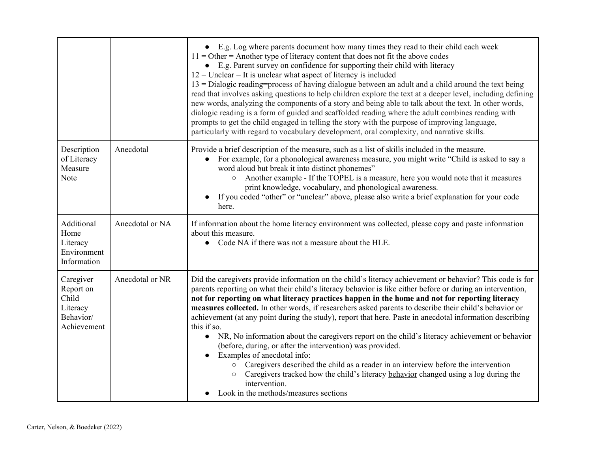|                                                                         |                 | • E.g. Log where parents document how many times they read to their child each week<br>$11 =$ Other = Another type of literacy content that does not fit the above codes<br>• E.g. Parent survey on confidence for supporting their child with literacy<br>$12$ = Unclear = It is unclear what aspect of literacy is included<br>$13 =$ Dialogic reading=process of having dialogue between an adult and a child around the text being<br>read that involves asking questions to help children explore the text at a deeper level, including defining<br>new words, analyzing the components of a story and being able to talk about the text. In other words,<br>dialogic reading is a form of guided and scaffolded reading where the adult combines reading with<br>prompts to get the child engaged in telling the story with the purpose of improving language,<br>particularly with regard to vocabulary development, oral complexity, and narrative skills.                                                                    |
|-------------------------------------------------------------------------|-----------------|---------------------------------------------------------------------------------------------------------------------------------------------------------------------------------------------------------------------------------------------------------------------------------------------------------------------------------------------------------------------------------------------------------------------------------------------------------------------------------------------------------------------------------------------------------------------------------------------------------------------------------------------------------------------------------------------------------------------------------------------------------------------------------------------------------------------------------------------------------------------------------------------------------------------------------------------------------------------------------------------------------------------------------------|
| Description<br>of Literacy<br>Measure<br>Note                           | Anecdotal       | Provide a brief description of the measure, such as a list of skills included in the measure.<br>For example, for a phonological awareness measure, you might write "Child is asked to say a<br>word aloud but break it into distinct phonemes"<br>○ Another example - If the TOPEL is a measure, here you would note that it measures<br>print knowledge, vocabulary, and phonological awareness.<br>If you coded "other" or "unclear" above, please also write a brief explanation for your code<br>$\bullet$<br>here.                                                                                                                                                                                                                                                                                                                                                                                                                                                                                                              |
| Additional<br>Home<br>Literacy<br>Environment<br>Information            | Anecdotal or NA | If information about the home literacy environment was collected, please copy and paste information<br>about this measure.<br>Code NA if there was not a measure about the HLE.<br>$\bullet$                                                                                                                                                                                                                                                                                                                                                                                                                                                                                                                                                                                                                                                                                                                                                                                                                                          |
| Caregiver<br>Report on<br>Child<br>Literacy<br>Behavior/<br>Achievement | Anecdotal or NR | Did the caregivers provide information on the child's literacy achievement or behavior? This code is for<br>parents reporting on what their child's literacy behavior is like either before or during an intervention,<br>not for reporting on what literacy practices happen in the home and not for reporting literacy<br>measures collected. In other words, if researchers asked parents to describe their child's behavior or<br>achievement (at any point during the study), report that here. Paste in anecdotal information describing<br>this if so.<br>NR, No information about the caregivers report on the child's literacy achievement or behavior<br>$\bullet$<br>(before, during, or after the intervention) was provided.<br>Examples of anecdotal info:<br>Caregivers described the child as a reader in an interview before the intervention<br>$\circ$<br>Caregivers tracked how the child's literacy behavior changed using a log during the<br>$\circ$<br>intervention.<br>Look in the methods/measures sections |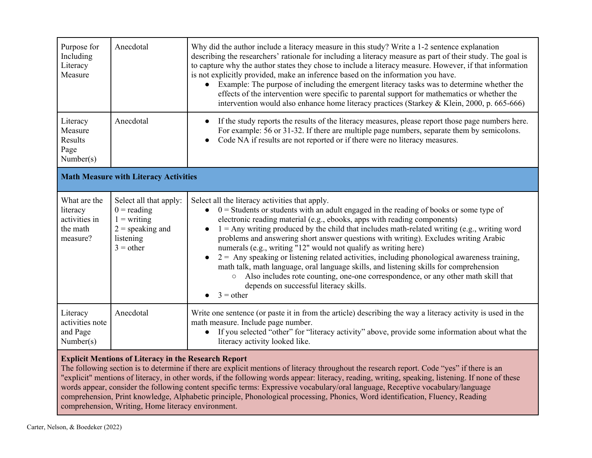| Purpose for<br>Including<br>Literacy<br>Measure                   | Anecdotal                                                                                                  | Why did the author include a literacy measure in this study? Write a 1-2 sentence explanation<br>describing the researchers' rationale for including a literacy measure as part of their study. The goal is<br>to capture why the author states they chose to include a literacy measure. However, if that information<br>is not explicitly provided, make an inference based on the information you have.<br>Example: The purpose of including the emergent literacy tasks was to determine whether the<br>effects of the intervention were specific to parental support for mathematics or whether the<br>intervention would also enhance home literacy practices (Starkey & Klein, 2000, p. 665-666)                                                                                                                                                            |  |
|-------------------------------------------------------------------|------------------------------------------------------------------------------------------------------------|--------------------------------------------------------------------------------------------------------------------------------------------------------------------------------------------------------------------------------------------------------------------------------------------------------------------------------------------------------------------------------------------------------------------------------------------------------------------------------------------------------------------------------------------------------------------------------------------------------------------------------------------------------------------------------------------------------------------------------------------------------------------------------------------------------------------------------------------------------------------|--|
| Literacy<br>Measure<br>Results<br>Page<br>Number(s)               | Anecdotal                                                                                                  | If the study reports the results of the literacy measures, please report those page numbers here.<br>For example: 56 or 31-32. If there are multiple page numbers, separate them by semicolons.<br>Code NA if results are not reported or if there were no literacy measures.                                                                                                                                                                                                                                                                                                                                                                                                                                                                                                                                                                                      |  |
| <b>Math Measure with Literacy Activities</b>                      |                                                                                                            |                                                                                                                                                                                                                                                                                                                                                                                                                                                                                                                                                                                                                                                                                                                                                                                                                                                                    |  |
| What are the<br>literacy<br>activities in<br>the math<br>measure? | Select all that apply:<br>$0 =$ reading<br>$1 = writing$<br>$2$ = speaking and<br>listening<br>$3 =$ other | Select all the literacy activities that apply.<br>$0 =$ Students or students with an adult engaged in the reading of books or some type of<br>$\bullet$<br>electronic reading material (e.g., ebooks, apps with reading components)<br>$1 =$ Any writing produced by the child that includes math-related writing (e.g., writing word<br>problems and answering short answer questions with writing). Excludes writing Arabic<br>numerals (e.g., writing "12" would not qualify as writing here)<br>$2 =$ Any speaking or listening related activities, including phonological awareness training,<br>math talk, math language, oral language skills, and listening skills for comprehension<br>Also includes rote counting, one-one correspondence, or any other math skill that<br>$\circ$<br>depends on successful literacy skills.<br>$3 = other$<br>$\bullet$ |  |
| Literacy<br>activities note<br>and Page<br>Number(s)              | Anecdotal                                                                                                  | Write one sentence (or paste it in from the article) describing the way a literacy activity is used in the<br>math measure. Include page number.<br>If you selected "other" for "literacy activity" above, provide some information about what the<br>$\bullet$<br>literacy activity looked like.                                                                                                                                                                                                                                                                                                                                                                                                                                                                                                                                                                  |  |

### **Explicit Mentions of Literacy in the Research Report**

The following section is to determine if there are explicit mentions of literacy throughout the research report. Code "yes" if there is an "explicit" mentions of literacy, in other words, if the following words appear: literacy, reading, writing, speaking, listening. If none of these words appear, consider the following content specific terms: Expressive vocabulary/oral language, Receptive vocabulary/language comprehension, Print knowledge, Alphabetic principle, Phonological processing, Phonics, Word identification, Fluency, Reading comprehension, Writing, Home literacy environment.